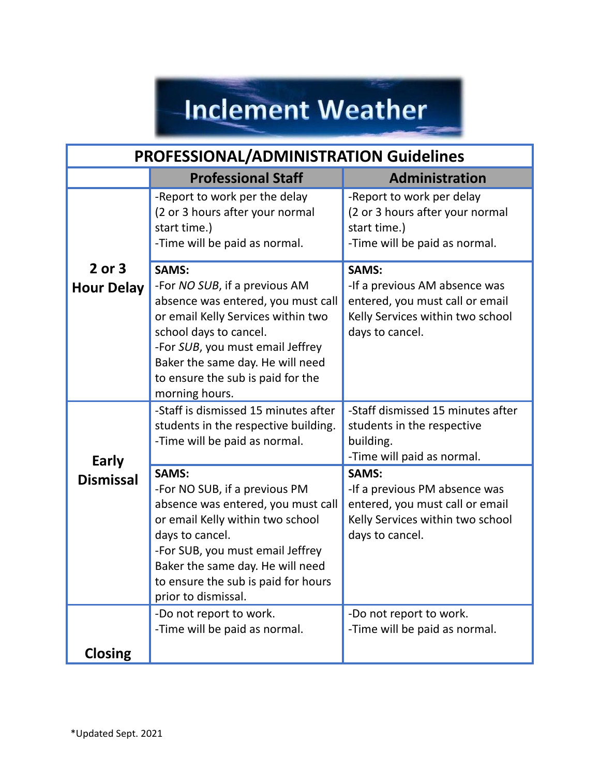## **Inclement Weather**

| <b>PROFESSIONAL/ADMINISTRATION Guidelines</b> |                                                                                                                                                                                                                                                                                    |                                                                                                                                         |
|-----------------------------------------------|------------------------------------------------------------------------------------------------------------------------------------------------------------------------------------------------------------------------------------------------------------------------------------|-----------------------------------------------------------------------------------------------------------------------------------------|
|                                               | <b>Professional Staff</b>                                                                                                                                                                                                                                                          | Administration                                                                                                                          |
|                                               | -Report to work per the delay<br>(2 or 3 hours after your normal<br>start time.)<br>-Time will be paid as normal.                                                                                                                                                                  | -Report to work per delay<br>(2 or 3 hours after your normal<br>start time.)<br>-Time will be paid as normal.                           |
| $2$ or $3$<br><b>Hour Delay</b>               | <b>SAMS:</b><br>-For NO SUB, if a previous AM<br>absence was entered, you must call<br>or email Kelly Services within two<br>school days to cancel.<br>-For SUB, you must email Jeffrey<br>Baker the same day. He will need<br>to ensure the sub is paid for the<br>morning hours. | <b>SAMS:</b><br>-If a previous AM absence was<br>entered, you must call or email<br>Kelly Services within two school<br>days to cancel. |
| Early                                         | -Staff is dismissed 15 minutes after<br>students in the respective building.<br>-Time will be paid as normal.                                                                                                                                                                      | -Staff dismissed 15 minutes after<br>students in the respective<br>building.<br>-Time will paid as normal.                              |
| <b>Dismissal</b>                              | <b>SAMS:</b><br>-For NO SUB, if a previous PM<br>absence was entered, you must call<br>or email Kelly within two school<br>days to cancel.<br>-For SUB, you must email Jeffrey<br>Baker the same day. He will need<br>to ensure the sub is paid for hours<br>prior to dismissal.   | <b>SAMS:</b><br>-If a previous PM absence was<br>entered, you must call or email<br>Kelly Services within two school<br>days to cancel. |
|                                               | -Do not report to work.<br>-Time will be paid as normal.                                                                                                                                                                                                                           | -Do not report to work.<br>-Time will be paid as normal.                                                                                |
| <b>Closing</b>                                |                                                                                                                                                                                                                                                                                    |                                                                                                                                         |